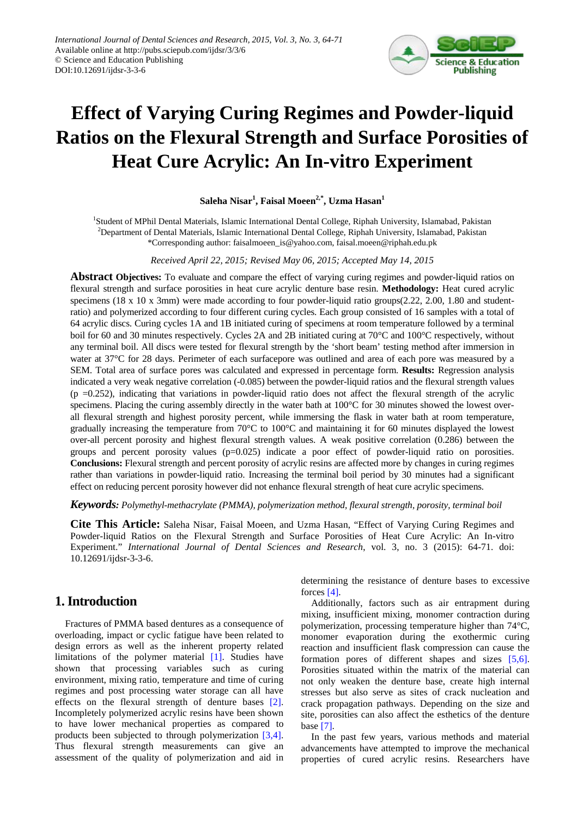

# **Effect of Varying Curing Regimes and Powder-liquid Ratios on the Flexural Strength and Surface Porosities of Heat Cure Acrylic: An In-vitro Experiment**

### **Saleha Nisar<sup>1</sup> , Faisal Moeen2,\*, Uzma Hasan1**

<sup>1</sup>Student of MPhil Dental Materials, Islamic International Dental College, Riphah University, Islamabad, Pakistan <sup>2</sup>Department of Dental Materials, Islamic International Dental College, Riphah University, Islamabad, Pakistan \*Corresponding author: faisalmoeen\_is@yahoo.com, faisal.moeen@riphah.edu.pk

*Received April 22, 2015; Revised May 06, 2015; Accepted May 14, 2015*

**Abstract Objectives:** To evaluate and compare the effect of varying curing regimes and powder-liquid ratios on flexural strength and surface porosities in heat cure acrylic denture base resin. **Methodology:** Heat cured acrylic specimens (18 x 10 x 3mm) were made according to four powder-liquid ratio groups(2.22, 2.00, 1.80 and studentratio) and polymerized according to four different curing cycles. Each group consisted of 16 samples with a total of 64 acrylic discs. Curing cycles 1A and 1B initiated curing of specimens at room temperature followed by a terminal boil for 60 and 30 minutes respectively. Cycles 2A and 2B initiated curing at 70°C and 100°C respectively, without any terminal boil. All discs were tested for flexural strength by the 'short beam' testing method after immersion in water at 37°C for 28 days. Perimeter of each surfacepore was outlined and area of each pore was measured by a SEM. Total area of surface pores was calculated and expressed in percentage form. **Results:** Regression analysis indicated a very weak negative correlation (-0.085) between the powder-liquid ratios and the flexural strength values  $(p = 0.252)$ , indicating that variations in powder-liquid ratio does not affect the flexural strength of the acrylic specimens. Placing the curing assembly directly in the water bath at 100°C for 30 minutes showed the lowest overall flexural strength and highest porosity percent, while immersing the flask in water bath at room temperature, gradually increasing the temperature from 70°C to 100°C and maintaining it for 60 minutes displayed the lowest over-all percent porosity and highest flexural strength values. A weak positive correlation (0.286) between the groups and percent porosity values  $(p=0.025)$  indicate a poor effect of powder-liquid ratio on porosities. **Conclusions:** Flexural strength and percent porosity of acrylic resins are affected more by changes in curing regimes rather than variations in powder-liquid ratio. Increasing the terminal boil period by 30 minutes had a significant effect on reducing percent porosity however did not enhance flexural strength of heat cure acrylic specimens.

*Keywords: Polymethyl-methacrylate (PMMA), polymerization method, flexural strength, porosity, terminal boil*

**Cite This Article:** Saleha Nisar, Faisal Moeen, and Uzma Hasan, "Effect of Varying Curing Regimes and Powder-liquid Ratios on the Flexural Strength and Surface Porosities of Heat Cure Acrylic: An In-vitro Experiment." *International Journal of Dental Sciences and Research*, vol. 3, no. 3 (2015): 64-71. doi: 10.12691/ijdsr-3-3-6.

# **1. Introduction**

Fractures of PMMA based dentures as a consequence of overloading, impact or cyclic fatigue have been related to design errors as well as the inherent property related limitations of the polymer material [1]. Studies have shown that processing variables such as curing environment, mixing ratio, temperature and time of curing regimes and post processing water storage can all have effects on the flexural strength of denture bases [\[2\].](#page-7-0) Incompletely polymerized acrylic resins have been shown to have lower mechanical properties as compared to products been subjected to through polymerization [\[3,4\].](#page-7-1) Thus flexural strength measurements can give an assessment of the quality of polymerization and aid in determining the resistance of denture bases to excessive forces [\[4\].](#page-7-2)

Additionally, factors such as air entrapment during mixing, insufficient mixing, monomer contraction during polymerization, processing temperature higher than 74°C, monomer evaporation during the exothermic curing reaction and insufficient flask compression can cause the formation pores of different shapes and sizes [\[5,6\].](#page-7-3) Porosities situated within the matrix of the material can not only weaken the denture base, create high internal stresses but also serve as sites of crack nucleation and crack propagation pathways. Depending on the size and site, porosities can also affect the esthetics of the denture base [\[7\].](#page-7-4)

In the past few years, various methods and material advancements have attempted to improve the mechanical properties of cured acrylic resins. Researchers have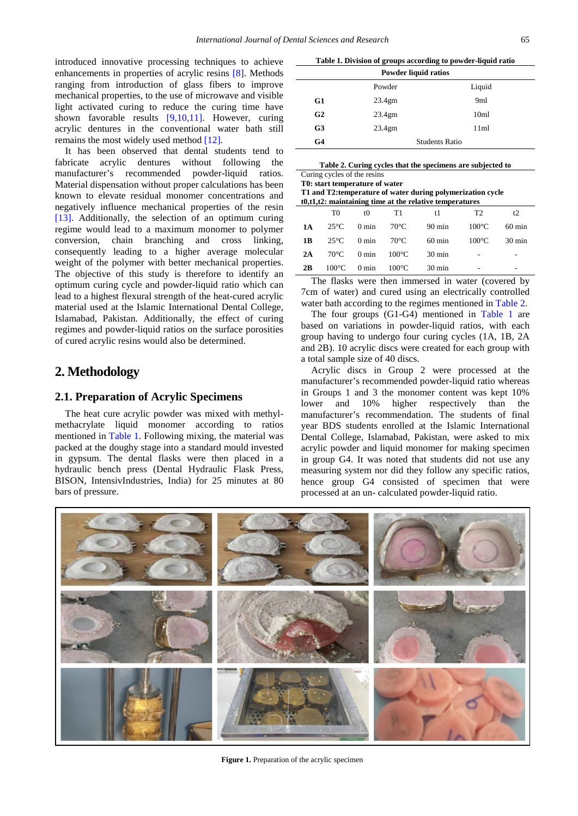introduced innovative processing techniques to achieve enhancements in properties of acrylic resins [\[8\].](#page-7-5) Methods ranging from introduction of glass fibers to improve mechanical properties, to the use of microwave and visible light activated curing to reduce the curing time have shown favorable results [\[9,10,11\].](#page-7-6) However, curing acrylic dentures in the conventional water bath still remains the most widely used method [\[12\].](#page-7-7)

It has been observed that dental students tend to fabricate acrylic dentures without following the manufacturer's recommended powder-liquid ratios. Material dispensation without proper calculations has been known to elevate residual monomer concentrations and negatively influence mechanical properties of the resin [\[13\].](#page-7-8) Additionally, the selection of an optimum curing regime would lead to a maximum monomer to polymer conversion, chain branching and cross linking, consequently leading to a higher average molecular weight of the polymer with better mechanical properties. The objective of this study is therefore to identify an optimum curing cycle and powder-liquid ratio which can lead to a highest flexural strength of the heat-cured acrylic material used at the Islamic International Dental College, Islamabad, Pakistan. Additionally, the effect of curing regimes and powder-liquid ratios on the surface porosities of cured acrylic resins would also be determined.

## **2. Methodology**

#### **2.1. Preparation of Acrylic Specimens**

The heat cure acrylic powder was mixed with methylmethacrylate liquid monomer according to ratios mentioned in [Table 1.](#page-1-0) Following mixing, the material was packed at the doughy stage into a standard mould invested in gypsum. The dental flasks were then placed in a hydraulic bench press (Dental Hydraulic Flask Press, BISON, IntensivIndustries, India) for 25 minutes at 80 bars of pressure.

**Table 1. Division of groups according to powder-liquid ratio**

<span id="page-1-0"></span>

| Powder liquid ratios |                    |                       |  |  |  |
|----------------------|--------------------|-----------------------|--|--|--|
|                      | Powder             | Liquid                |  |  |  |
| G1                   | 23.4 <sub>gm</sub> | 9ml                   |  |  |  |
| G2                   | 23.4 <sub>gm</sub> | 10 <sub>m1</sub>      |  |  |  |
| G3                   | 23.4 <sub>gm</sub> | 11ml                  |  |  |  |
| G4                   |                    | <b>Students Ratio</b> |  |  |  |

<span id="page-1-1"></span>

| Table 2. Curing cycles that the specimens are subjected to |  |
|------------------------------------------------------------|--|
| Curing cycles of the resins                                |  |

**T0: start temperature of water**

| T1 and T2: temperature of water during polymerization cycle<br>$t0,t1,t2$ : maintaining time at the relative temperatures |                 |                 |                 |                  |                 |                  |  |
|---------------------------------------------------------------------------------------------------------------------------|-----------------|-----------------|-----------------|------------------|-----------------|------------------|--|
|                                                                                                                           | T0              | t0              | T1              | t l              | T2              | t2               |  |
| 1A                                                                                                                        | $25^{\circ}$ C  | $0 \text{ min}$ | $70^{\circ}$ C  | $90 \text{ min}$ | $100^{\circ}$ C | $60 \text{ min}$ |  |
| 1 B                                                                                                                       | $25^{\circ}$ C  | $0 \text{ min}$ | $70^{\circ}$ C  | $60 \text{ min}$ | $100^{\circ}$ C | $30 \text{ min}$ |  |
| 2A                                                                                                                        | $70^{\circ}$ C  | $0 \text{ min}$ | $100^{\circ}$ C | $30 \text{ min}$ |                 |                  |  |
| 2B                                                                                                                        | $100^{\circ}$ C | $0 \text{ min}$ | $100^{\circ}$ C | $30 \text{ min}$ |                 |                  |  |

The flasks were then immersed in water (covered by 7cm of water) and cured using an electrically controlled water bath according to the regimes mentioned i[n Table 2.](#page-1-1)

The four groups (G1-G4) mentioned in [Table 1](#page-1-0) are based on variations in powder-liquid ratios, with each group having to undergo four curing cycles (1A, 1B, 2A and 2B). 10 acrylic discs were created for each group with a total sample size of 40 discs.

Acrylic discs in Group 2 were processed at the manufacturer's recommended powder-liquid ratio whereas in Groups 1 and 3 the monomer content was kept 10% lower and 10% higher respectively than the manufacturer's recommendation. The students of final year BDS students enrolled at the Islamic International Dental College, Islamabad, Pakistan, were asked to mix acrylic powder and liquid monomer for making specimen in group G4. It was noted that students did not use any measuring system nor did they follow any specific ratios, hence group G4 consisted of specimen that were processed at an un- calculated powder-liquid ratio.



**Figure 1.** Preparation of the acrylic specimen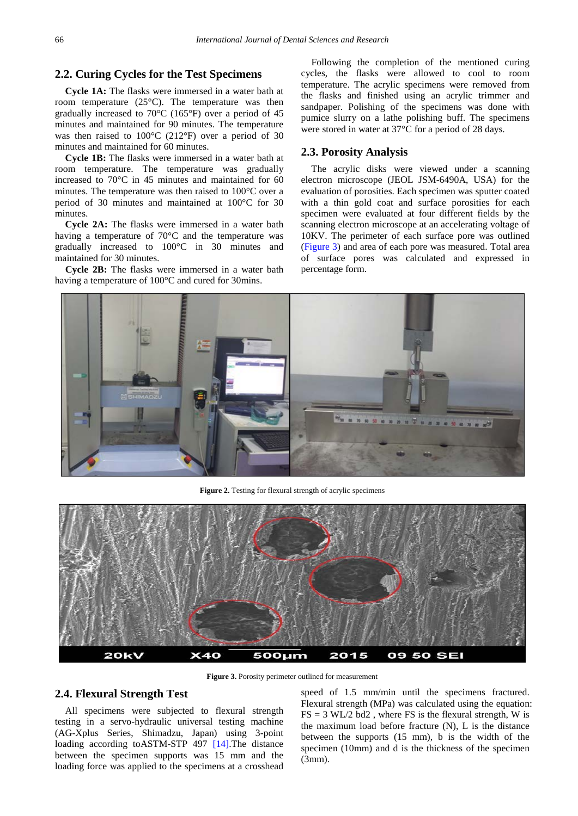#### **2.2. Curing Cycles for the Test Specimens**

**Cycle 1A:** The flasks were immersed in a water bath at room temperature (25°C). The temperature was then gradually increased to 70°C (165°F) over a period of 45 minutes and maintained for 90 minutes. The temperature was then raised to 100°C (212°F) over a period of 30 minutes and maintained for 60 minutes.

**Cycle 1B:** The flasks were immersed in a water bath at room temperature. The temperature was gradually increased to 70°C in 45 minutes and maintained for 60 minutes. The temperature was then raised to 100°C over a period of 30 minutes and maintained at 100°C for 30 minutes.

**Cycle 2A:** The flasks were immersed in a water bath having a temperature of 70°C and the temperature was gradually increased to 100°C in 30 minutes and maintained for 30 minutes.

**Cycle 2B:** The flasks were immersed in a water bath having a temperature of 100°C and cured for 30mins.

Following the completion of the mentioned curing cycles, the flasks were allowed to cool to room temperature. The acrylic specimens were removed from the flasks and finished using an acrylic trimmer and sandpaper. Polishing of the specimens was done with pumice slurry on a lathe polishing buff. The specimens were stored in water at 37°C for a period of 28 days.

#### **2.3. Porosity Analysis**

The acrylic disks were viewed under a scanning electron microscope (JEOL JSM-6490A, USA) for the evaluation of porosities. Each specimen was sputter coated with a thin gold coat and surface porosities for each specimen were evaluated at four different fields by the scanning electron microscope at an accelerating voltage of 10KV. The perimeter of each surface pore was outlined [\(Figure 3\)](#page-2-0) and area of each pore was measured. Total area of surface pores was calculated and expressed in percentage form.



**Figure 2.** Testing for flexural strength of acrylic specimens

<span id="page-2-0"></span>

Figure 3. Porosity perimeter outlined for measurement

## **2.4. Flexural Strength Test**

All specimens were subjected to flexural strength testing in a servo-hydraulic universal testing machine (AG-Xplus Series, Shimadzu, Japan) using 3-point loading according toASTM-STP 497 [\[14\].](#page-7-9)The distance between the specimen supports was 15 mm and the loading force was applied to the specimens at a crosshead

speed of 1.5 mm/min until the specimens fractured. Flexural strength (MPa) was calculated using the equation:  $FS = 3 WL/2 bd2$ , where FS is the flexural strength, W is the maximum load before fracture (N), L is the distance between the supports (15 mm), b is the width of the specimen (10mm) and d is the thickness of the specimen (3mm).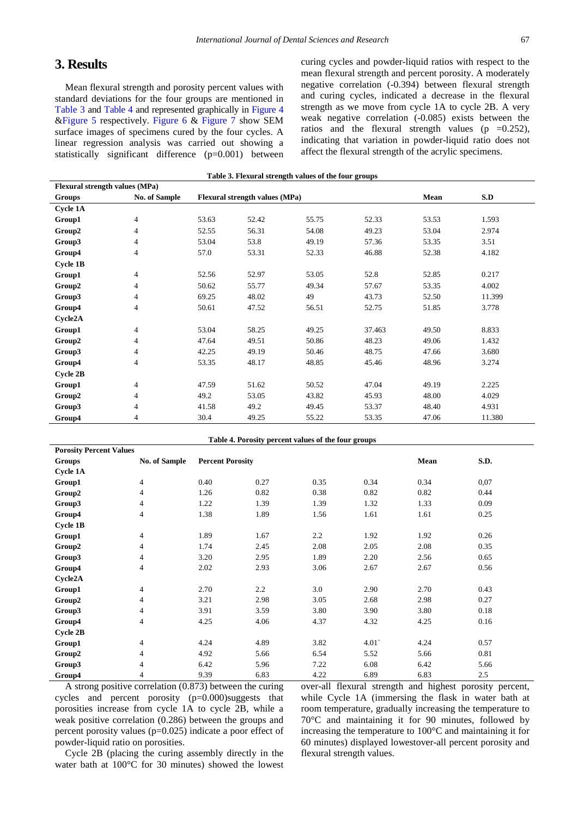# **3. Results**

Mean flexural strength and porosity percent values with standard deviations for the four groups are mentioned in [Table 3](#page-3-0) and [Table 4](#page-3-1) and represented graphically in [Figure 4](#page-4-0) [&Figure 5](#page-4-1) respectively. [Figure 6](#page-4-2) & [Figure 7](#page-5-0) show SEM surface images of specimens cured by the four cycles. A linear regression analysis was carried out showing a statistically significant difference (p=0.001) between curing cycles and powder-liquid ratios with respect to the mean flexural strength and percent porosity. A moderately negative correlation (-0.394) between flexural strength and curing cycles, indicated a decrease in the flexural strength as we move from cycle 1A to cycle 2B. A very weak negative correlation (-0.085) exists between the ratios and the flexural strength values ( $p = 0.252$ ), indicating that variation in powder-liquid ratio does not affect the flexural strength of the acrylic specimens.

<span id="page-3-0"></span>

| Table 3. Flexural strength values of the four groups |                      |       |                                |       |        |       |        |  |
|------------------------------------------------------|----------------------|-------|--------------------------------|-------|--------|-------|--------|--|
| Flexural strength values (MPa)                       |                      |       |                                |       |        |       |        |  |
| Groups                                               | <b>No. of Sample</b> |       | Flexural strength values (MPa) |       |        | Mean  | S.D    |  |
| <b>Cycle 1A</b>                                      |                      |       |                                |       |        |       |        |  |
| Group1                                               | 4                    | 53.63 | 52.42                          | 55.75 | 52.33  | 53.53 | 1.593  |  |
| Group2                                               | 4                    | 52.55 | 56.31                          | 54.08 | 49.23  | 53.04 | 2.974  |  |
| Group3                                               | 4                    | 53.04 | 53.8                           | 49.19 | 57.36  | 53.35 | 3.51   |  |
| Group4                                               | 4                    | 57.0  | 53.31                          | 52.33 | 46.88  | 52.38 | 4.182  |  |
| Cycle1B                                              |                      |       |                                |       |        |       |        |  |
| Group1                                               | 4                    | 52.56 | 52.97                          | 53.05 | 52.8   | 52.85 | 0.217  |  |
| Group2                                               | 4                    | 50.62 | 55.77                          | 49.34 | 57.67  | 53.35 | 4.002  |  |
| Group3                                               | 4                    | 69.25 | 48.02                          | 49    | 43.73  | 52.50 | 11.399 |  |
| Group4                                               | 4                    | 50.61 | 47.52                          | 56.51 | 52.75  | 51.85 | 3.778  |  |
| Cycle2A                                              |                      |       |                                |       |        |       |        |  |
| Group1                                               | 4                    | 53.04 | 58.25                          | 49.25 | 37.463 | 49.50 | 8.833  |  |
| Group2                                               | 4                    | 47.64 | 49.51                          | 50.86 | 48.23  | 49.06 | 1.432  |  |
| Group3                                               | 4                    | 42.25 | 49.19                          | 50.46 | 48.75  | 47.66 | 3.680  |  |
| Group4                                               | $\overline{4}$       | 53.35 | 48.17                          | 48.85 | 45.46  | 48.96 | 3.274  |  |
| Cycle 2B                                             |                      |       |                                |       |        |       |        |  |
| Group1                                               | 4                    | 47.59 | 51.62                          | 50.52 | 47.04  | 49.19 | 2.225  |  |
| Group2                                               | 4                    | 49.2  | 53.05                          | 43.82 | 45.93  | 48.00 | 4.029  |  |
| Group3                                               | 4                    | 41.58 | 49.2                           | 49.45 | 53.37  | 48.40 | 4.931  |  |
| Group4                                               | 4                    | 30.4  | 49.25                          | 55.22 | 53.35  | 47.06 | 11.380 |  |

<span id="page-3-1"></span>

| Table 4. Porosity percent values of the four groups |                      |                         |                  |      |      |      |      |  |
|-----------------------------------------------------|----------------------|-------------------------|------------------|------|------|------|------|--|
| <b>Porosity Percent Values</b>                      |                      |                         |                  |      |      |      |      |  |
| Groups                                              | <b>No. of Sample</b> | <b>Percent Porosity</b> |                  |      |      | Mean | S.D. |  |
| <b>Cycle 1A</b>                                     |                      |                         |                  |      |      |      |      |  |
| Group1                                              | $\overline{4}$       | 0.40                    | 0.27             | 0.35 | 0.34 | 0.34 | 0.07 |  |
| Group2                                              | 4                    | 1.26                    | 0.82             | 0.38 | 0.82 | 0.82 | 0.44 |  |
| Group3                                              | 4                    | 1.22                    | 1.39             | 1.39 | 1.32 | 1.33 | 0.09 |  |
| Group4                                              | 4                    | 1.38                    | 1.89             | 1.56 | 1.61 | 1.61 | 0.25 |  |
| <b>Cycle 1B</b>                                     |                      |                         |                  |      |      |      |      |  |
| Group1                                              | 4                    | 1.89                    | 1.67             | 2.2  | 1.92 | 1.92 | 0.26 |  |
| Group2                                              | $\overline{4}$       | 1.74                    | 2.45             | 2.08 | 2.05 | 2.08 | 0.35 |  |
| Group3                                              | $\overline{4}$       | 3.20                    | 2.95             | 1.89 | 2.20 | 2.56 | 0.65 |  |
| Group4                                              | 4                    | 2.02                    | 2.93             | 3.06 | 2.67 | 2.67 | 0.56 |  |
| Cycle2A                                             |                      |                         |                  |      |      |      |      |  |
| Group1                                              | $\overline{4}$       | 2.70                    | $2.2\phantom{0}$ | 3.0  | 2.90 | 2.70 | 0.43 |  |
| Group2                                              | 4                    | 3.21                    | 2.98             | 3.05 | 2.68 | 2.98 | 0.27 |  |
| Group3                                              | 4                    | 3.91                    | 3.59             | 3.80 | 3.90 | 3.80 | 0.18 |  |
| Group4                                              | $\overline{4}$       | 4.25                    | 4.06             | 4.37 | 4.32 | 4.25 | 0.16 |  |
| <b>Cycle 2B</b>                                     |                      |                         |                  |      |      |      |      |  |
| Group1                                              | $\overline{4}$       | 4.24                    | 4.89             | 3.82 | 4.01 | 4.24 | 0.57 |  |
| Group2                                              | 4                    | 4.92                    | 5.66             | 6.54 | 5.52 | 5.66 | 0.81 |  |
| Group3                                              | $\overline{4}$       | 6.42                    | 5.96             | 7.22 | 6.08 | 6.42 | 5.66 |  |
| Group4                                              | 4                    | 9.39                    | 6.83             | 4.22 | 6.89 | 6.83 | 2.5  |  |

A strong positive correlation (0.873) between the curing cycles and percent porosity (p=0.000)suggests that porosities increase from cycle 1A to cycle 2B, while a weak positive correlation (0.286) between the groups and percent porosity values (p=0.025) indicate a poor effect of powder-liquid ratio on porosities.

Cycle 2B (placing the curing assembly directly in the water bath at 100°C for 30 minutes) showed the lowest over-all flexural strength and highest porosity percent, while Cycle 1A (immersing the flask in water bath at room temperature, gradually increasing the temperature to 70°C and maintaining it for 90 minutes, followed by increasing the temperature to 100°C and maintaining it for 60 minutes) displayed lowestover-all percent porosity and flexural strength values.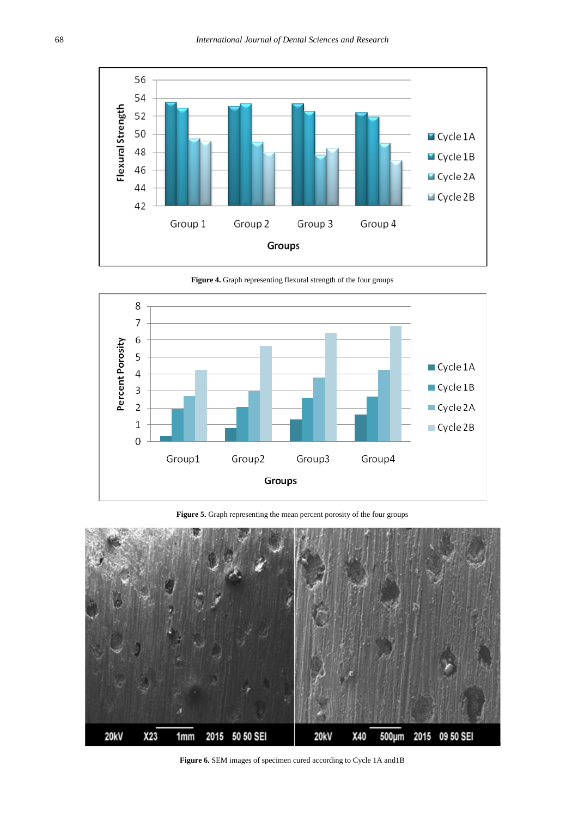<span id="page-4-0"></span>

**Figure 4.** Graph representing flexural strength of the four groups

<span id="page-4-1"></span>

Figure 5. Graph representing the mean percent porosity of the four groups

<span id="page-4-2"></span>

**Figure 6.** SEM images of specimen cured according to Cycle 1A and1B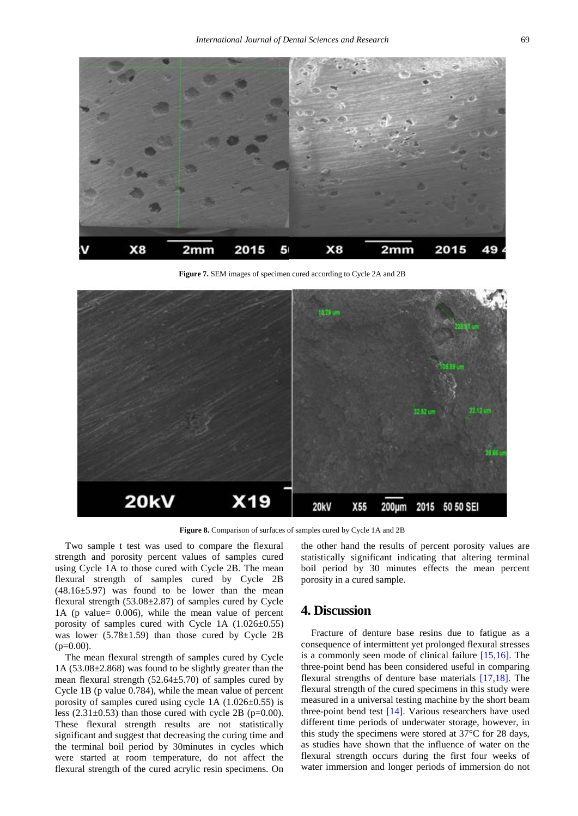<span id="page-5-0"></span>

**Figure 7.** SEM images of specimen cured according to Cycle 2A and 2B



Figure 8. Comparison of surfaces of samples cured by Cycle 1A and 2B

Two sample t test was used to compare the flexural strength and porosity percent values of samples cured using Cycle 1A to those cured with Cycle 2B. The mean flexural strength of samples cured by Cycle 2B  $(48.16\pm5.97)$  was found to be lower than the mean flexural strength  $(53.08\pm2.87)$  of samples cured by Cycle 1A (p value= 0.006), while the mean value of percent porosity of samples cured with Cycle 1A (1.026±0.55) was lower  $(5.78 \pm 1.59)$  than those cured by Cycle 2B  $(p=0.00)$ .

The mean flexural strength of samples cured by Cycle 1A (53.08±2.868) was found to be slightly greater than the mean flexural strength  $(52.64 \pm 5.70)$  of samples cured by Cycle 1B (p value 0.784), while the mean value of percent porosity of samples cured using cycle 1A (1.026±0.55) is less  $(2.31\pm0.53)$  than those cured with cycle 2B (p=0.00). These flexural strength results are not statistically significant and suggest that decreasing the curing time and the terminal boil period by 30minutes in cycles which were started at room temperature, do not affect the flexural strength of the cured acrylic resin specimens. On the other hand the results of percent porosity values are statistically significant indicating that altering terminal boil period by 30 minutes effects the mean percent porosity in a cured sample.

## **4. Discussion**

Fracture of denture base resins due to fatigue as a consequence of intermittent yet prolonged flexural stresses is a commonly seen mode of clinical failure [\[15,16\].](#page-7-10) The three-point bend has been considered useful in comparing flexural strengths of denture base materials [\[17,18\].](#page-7-11) The flexural strength of the cured specimens in this study were measured in a universal testing machine by the short beam three-point bend test [\[14\].](#page-7-9) Various researchers have used different time periods of underwater storage, however, in this study the specimens were stored at 37°C for 28 days, as studies have shown that the influence of water on the flexural strength occurs during the first four weeks of water immersion and longer periods of immersion do not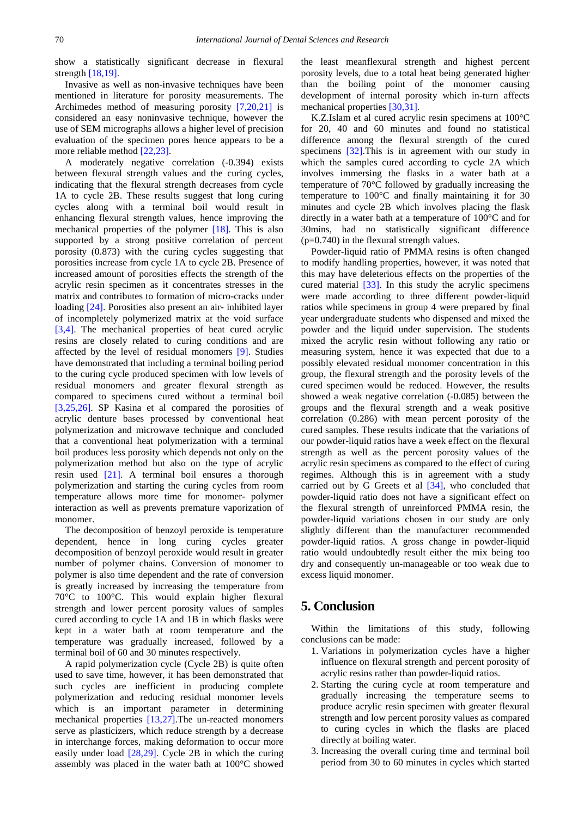show a statistically significant decrease in flexural strength [\[18,19\].](#page-7-12)

Invasive as well as non-invasive techniques have been mentioned in literature for porosity measurements. The Archimedes method of measuring porosity [\[7,20,21\]](#page-7-4) is considered an easy noninvasive technique, however the use of SEM micrographs allows a higher level of precision evaluation of the specimen pores hence appears to be a more reliable method [\[22,23\].](#page-7-13)

A moderately negative correlation (-0.394) exists between flexural strength values and the curing cycles, indicating that the flexural strength decreases from cycle 1A to cycle 2B. These results suggest that long curing cycles along with a terminal boil would result in enhancing flexural strength values, hence improving the mechanical properties of the polymer [\[18\].](#page-7-12) This is also supported by a strong positive correlation of percent porosity (0.873) with the curing cycles suggesting that porosities increase from cycle 1A to cycle 2B. Presence of increased amount of porosities effects the strength of the acrylic resin specimen as it concentrates stresses in the matrix and contributes to formation of micro-cracks under loading [\[24\].](#page-7-14) Porosities also present an air- inhibited layer of incompletely polymerized matrix at the void surface [\[3,4\].](#page-7-1) The mechanical properties of heat cured acrylic resins are closely related to curing conditions and are affected by the level of residual monomers [\[9\].](#page-7-6) Studies have demonstrated that including a terminal boiling period to the curing cycle produced specimen with low levels of residual monomers and greater flexural strength as compared to specimens cured without a terminal boil [\[3,25,26\].](#page-7-1) SP Kasina et al compared the porosities of acrylic denture bases processed by conventional heat polymerization and microwave technique and concluded that a conventional heat polymerization with a terminal boil produces less porosity which depends not only on the polymerization method but also on the type of acrylic resin used [\[21\].](#page-7-15) A terminal boil ensures a thorough polymerization and starting the curing cycles from room temperature allows more time for monomer- polymer interaction as well as prevents premature vaporization of monomer.

The decomposition of benzoyl peroxide is temperature dependent, hence in long curing cycles greater decomposition of benzoyl peroxide would result in greater number of polymer chains. Conversion of monomer to polymer is also time dependent and the rate of conversion is greatly increased by increasing the temperature from 70°C to 100°C. This would explain higher flexural strength and lower percent porosity values of samples cured according to cycle 1A and 1B in which flasks were kept in a water bath at room temperature and the temperature was gradually increased, followed by a terminal boil of 60 and 30 minutes respectively.

A rapid polymerization cycle (Cycle 2B) is quite often used to save time, however, it has been demonstrated that such cycles are inefficient in producing complete polymerization and reducing residual monomer levels which is an important parameter in determining mechanical properties [\[13,27\].T](#page-7-8)he un-reacted monomers serve as plasticizers, which reduce strength by a decrease in interchange forces, making deformation to occur more easily under load [\[28,29\].](#page-7-16) Cycle 2B in which the curing assembly was placed in the water bath at 100°C showed

the least meanflexural strength and highest percent porosity levels, due to a total heat being generated higher than the boiling point of the monomer causing development of internal porosity which in-turn affects mechanical properties [\[30,31\].](#page-7-17)

K.Z.Islam et al cured acrylic resin specimens at 100°C for 20, 40 and 60 minutes and found no statistical difference among the flexural strength of the cured specimens [\[32\].](#page-7-18)This is in agreement with our study in which the samples cured according to cycle 2A which involves immersing the flasks in a water bath at a temperature of 70°C followed by gradually increasing the temperature to 100°C and finally maintaining it for 30 minutes and cycle 2B which involves placing the flask directly in a water bath at a temperature of 100°C and for 30mins, had no statistically significant difference (p=0.740) in the flexural strength values.

Powder-liquid ratio of PMMA resins is often changed to modify handling properties, however, it was noted that this may have deleterious effects on the properties of the cured material [\[33\].](#page-7-19) In this study the acrylic specimens were made according to three different powder-liquid ratios while specimens in group 4 were prepared by final year undergraduate students who dispensed and mixed the powder and the liquid under supervision. The students mixed the acrylic resin without following any ratio or measuring system, hence it was expected that due to a possibly elevated residual monomer concentration in this group, the flexural strength and the porosity levels of the cured specimen would be reduced. However, the results showed a weak negative correlation (-0.085) between the groups and the flexural strength and a weak positive correlation (0.286) with mean percent porosity of the cured samples. These results indicate that the variations of our powder-liquid ratios have a week effect on the flexural strength as well as the percent porosity values of the acrylic resin specimens as compared to the effect of curing regimes. Although this is in agreement with a study carried out by G Greets et al [\[34\],](#page-7-20) who concluded that powder-liquid ratio does not have a significant effect on the flexural strength of unreinforced PMMA resin, the powder-liquid variations chosen in our study are only slightly different than the manufacturer recommended powder-liquid ratios. A gross change in powder-liquid ratio would undoubtedly result either the mix being too dry and consequently un-manageable or too weak due to excess liquid monomer.

# **5. Conclusion**

Within the limitations of this study, following conclusions can be made:

- 1. Variations in polymerization cycles have a higher influence on flexural strength and percent porosity of acrylic resins rather than powder-liquid ratios.
- 2. Starting the curing cycle at room temperature and gradually increasing the temperature seems to produce acrylic resin specimen with greater flexural strength and low percent porosity values as compared to curing cycles in which the flasks are placed directly at boiling water.
- 3. Increasing the overall curing time and terminal boil period from 30 to 60 minutes in cycles which started